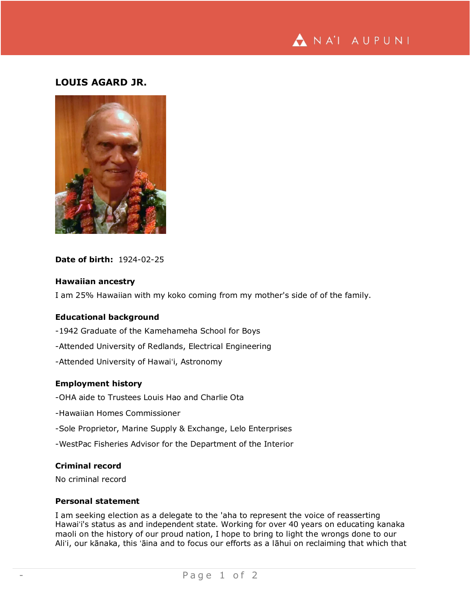

# **LOUIS AGARD JR.**



# **Date of birth:** 1924-02-25

#### **Hawaiian ancestry**

I am 25% Hawaiian with my koko coming from my mother's side of of the family.

# **Educational background**

- -1942 Graduate of the Kamehameha School for Boys
- -Attended University of Redlands, Electrical Engineering
- -Attended University of Hawaiʻi, Astronomy

#### **Employment history**

- -OHA aide to Trustees Louis Hao and Charlie Ota
- -Hawaiian Homes Commissioner
- -Sole Proprietor, Marine Supply & Exchange, Lelo Enterprises
- -WestPac Fisheries Advisor for the Department of the Interior

## **Criminal record**

No criminal record

#### **Personal statement**

I am seeking election as a delegate to the 'aha to represent the voice of reasserting Hawaiʻi's status as and independent state. Working for over 40 years on educating kanaka maoli on the history of our proud nation, I hope to bring to light the wrongs done to our Aliʻi, our kānaka, this ʻāina and to focus our efforts as a lāhui on reclaiming that which that